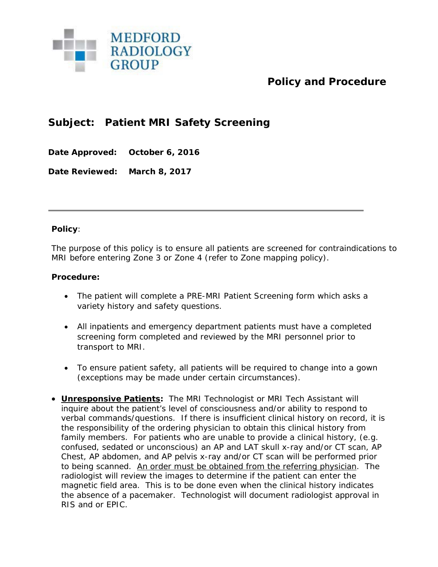

## **Policy and Procedure**

## **Subject: Patient MRI Safety Screening**

**Date Approved: October 6, 2016**

**Date Reviewed: March 8, 2017**

## **Policy**:

The purpose of this policy is to ensure all patients are screened for contraindications to MRI before entering Zone 3 or Zone 4 (refer to Zone mapping policy).

## **Procedure:**

- The patient will complete a PRE-MRI Patient Screening form which asks a variety history and safety questions.
- All inpatients and emergency department patients must have a completed screening form completed and reviewed by the MRI personnel prior to transport to MRI.
- To ensure patient safety, all patients will be required to change into a gown (exceptions may be made under certain circumstances).
- **Unresponsive Patients:** The MRI Technologist or MRI Tech Assistant will inquire about the patient's level of consciousness and/or ability to respond to verbal commands/questions. If there is insufficient clinical history on record, it is the responsibility of the ordering physician to obtain this clinical history from family members. For patients who are unable to provide a clinical history, (e.g. confused, sedated or unconscious) an AP and LAT skull x-ray and/or CT scan, AP Chest, AP abdomen, and AP pelvis x-ray and/or CT scan will be performed prior to being scanned. An order must be obtained from the referring physician. The radiologist will review the images to determine if the patient can enter the magnetic field area. This is to be done even when the clinical history indicates the absence of a pacemaker. Technologist will document radiologist approval in RIS and or EPIC.